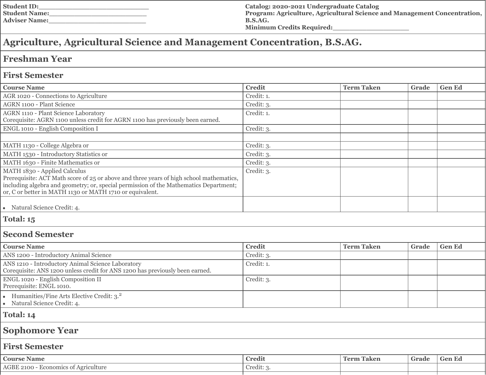| <b>Student ID:</b>   |  |
|----------------------|--|
| <b>Student Name:</b> |  |
| <b>Adviser Name:</b> |  |

**Catalog: 2020-2021 Undergraduate Catalog Program: Agriculture, Agricultural Science and Management Concentration, B.S.AG. Minimum Credits Required:\_\_\_\_\_\_\_\_\_\_\_\_\_\_\_\_\_\_**

# **Agriculture, Agricultural Science and Management Concentration, B.S.AG.**

# **Freshman Year**

## **First Semester**

| <b>Course Name</b>                                                                      | <b>Credit</b> | <b>Term Taken</b> | Grade | <b>Gen Ed</b> |
|-----------------------------------------------------------------------------------------|---------------|-------------------|-------|---------------|
| AGR 1020 - Connections to Agriculture                                                   | Credit: 1.    |                   |       |               |
| <b>AGRN 1100 - Plant Science</b>                                                        | Credit: 3.    |                   |       |               |
| AGRN 1110 - Plant Science Laboratory                                                    | Credit: 1.    |                   |       |               |
| Corequisite: AGRN 1100 unless credit for AGRN 1100 has previously been earned.          |               |                   |       |               |
| ENGL 1010 - English Composition I                                                       | Credit: 3.    |                   |       |               |
|                                                                                         |               |                   |       |               |
| MATH 1130 - College Algebra or                                                          | Credit: 3.    |                   |       |               |
| MATH 1530 - Introductory Statistics or                                                  | Credit: 3.    |                   |       |               |
| MATH 1630 - Finite Mathematics or                                                       | Credit: 3.    |                   |       |               |
| MATH 1830 - Applied Calculus                                                            | Credit: 3.    |                   |       |               |
| Prerequisite: ACT Math score of 25 or above and three years of high school mathematics, |               |                   |       |               |
| including algebra and geometry; or, special permission of the Mathematics Department;   |               |                   |       |               |
| or, C or better in MATH 1130 or MATH 1710 or equivalent.                                |               |                   |       |               |
|                                                                                         |               |                   |       |               |
| • Natural Science Credit: 4.                                                            |               |                   |       |               |
| Total: 15                                                                               |               |                   |       |               |
| $\sim$ $\sim$ $\sim$                                                                    |               |                   |       |               |

#### **Second Semester**

| <b>Credit</b> | <b>Term Taken</b> | Grade | <b>Gen Ed</b> |
|---------------|-------------------|-------|---------------|
| Credit: 3.    |                   |       |               |
| Credit: 1.    |                   |       |               |
| Credit: 3.    |                   |       |               |
|               |                   |       |               |
|               |                   |       |               |

**Total: 14**

## **Sophomore Year**

## **First Semester**

| <b>Course Name</b>                                             | -<br><b>Credit</b> | <b>THE</b><br>-<br>``erm<br>Faken | Grade | - Gen Eu |
|----------------------------------------------------------------|--------------------|-----------------------------------|-------|----------|
| <b>AGBE</b><br>2100<br><b>COMMA</b><br>teulture<br><i>mics</i> | Credit:            |                                   |       |          |
|                                                                |                    |                                   |       |          |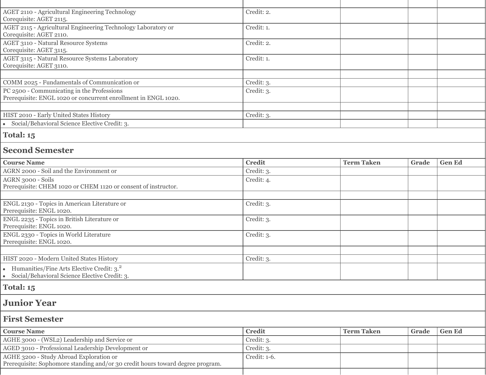| AGET 2110 - Agricultural Engineering Technology                                                                           | Credit: 2.    |                   |       |               |
|---------------------------------------------------------------------------------------------------------------------------|---------------|-------------------|-------|---------------|
| Corequisite: AGET 2115.                                                                                                   |               |                   |       |               |
| AGET 2115 - Agricultural Engineering Technology Laboratory or<br>Corequisite: AGET 2110.                                  | Credit: 1.    |                   |       |               |
| <b>AGET 3110 - Natural Resource Systems</b>                                                                               | Credit: 2.    |                   |       |               |
| Corequisite: AGET 3115.                                                                                                   |               |                   |       |               |
| AGET 3115 - Natural Resource Systems Laboratory<br>Corequisite: AGET 3110.                                                | Credit: 1.    |                   |       |               |
|                                                                                                                           |               |                   |       |               |
| COMM 2025 - Fundamentals of Communication or                                                                              | Credit: 3.    |                   |       |               |
| PC 2500 - Communicating in the Professions<br>Prerequisite: ENGL 1020 or concurrent enrollment in ENGL 1020.              | Credit: 3.    |                   |       |               |
|                                                                                                                           |               |                   |       |               |
| HIST 2010 - Early United States History                                                                                   | Credit: 3.    |                   |       |               |
| • Social/Behavioral Science Elective Credit: 3.                                                                           |               |                   |       |               |
| Total: 15                                                                                                                 |               |                   |       |               |
| <b>Second Semester</b>                                                                                                    |               |                   |       |               |
| <b>Course Name</b>                                                                                                        | <b>Credit</b> | <b>Term Taken</b> | Grade | <b>Gen Ed</b> |
| AGRN 2000 - Soil and the Environment or                                                                                   | Credit: 3.    |                   |       |               |
| AGRN 3000 - Soils<br>Prerequisite: CHEM 1020 or CHEM 1120 or consent of instructor.                                       | Credit: 4.    |                   |       |               |
|                                                                                                                           |               |                   |       |               |
| ENGL 2130 - Topics in American Literature or<br>Prerequisite: ENGL 1020.                                                  | Credit: 3.    |                   |       |               |
| ENGL 2235 - Topics in British Literature or<br>Prerequisite: ENGL 1020.                                                   | Credit: 3.    |                   |       |               |
| ENGL 2330 - Topics in World Literature<br>Prerequisite: ENGL 1020.                                                        | Credit: 3.    |                   |       |               |
|                                                                                                                           |               |                   |       |               |
| HIST 2020 - Modern United States History                                                                                  | Credit: 3.    |                   |       |               |
| • Humanities/Fine Arts Elective Credit: $3.2$<br>· Social/Behavioral Science Elective Credit: 3.                          |               |                   |       |               |
| Total: 15                                                                                                                 |               |                   |       |               |
| <b>Junior Year</b>                                                                                                        |               |                   |       |               |
| <b>First Semester</b>                                                                                                     |               |                   |       |               |
| <b>Course Name</b>                                                                                                        | <b>Credit</b> | <b>Term Taken</b> | Grade | <b>Gen Ed</b> |
| AGHE 3000 - (WSL2) Leadership and Service or                                                                              | Credit: 3.    |                   |       |               |
| AGED 3010 - Professional Leadership Development or                                                                        | Credit: 3.    |                   |       |               |
| AGHE 3200 - Study Abroad Exploration or<br>Prerequisite: Sophomore standing and/or 30 credit hours toward degree program. | Credit: 1-6.  |                   |       |               |
|                                                                                                                           |               |                   |       |               |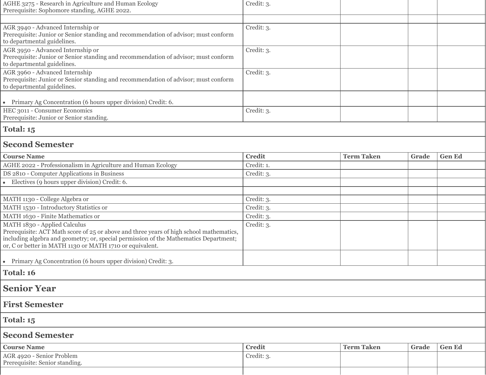| AGHE 3275 - Research in Agriculture and Human Ecology                                                                   | Credit: 3.    |                   |       |               |
|-------------------------------------------------------------------------------------------------------------------------|---------------|-------------------|-------|---------------|
| Prerequisite: Sophomore standing, AGHE 2022.                                                                            |               |                   |       |               |
|                                                                                                                         |               |                   |       |               |
| AGR 3940 - Advanced Internship or                                                                                       | Credit: 3.    |                   |       |               |
| Prerequisite: Junior or Senior standing and recommendation of advisor; must conform                                     |               |                   |       |               |
| to departmental guidelines.                                                                                             |               |                   |       |               |
| AGR 3950 - Advanced Internship or                                                                                       | Credit: 3.    |                   |       |               |
| Prerequisite: Junior or Senior standing and recommendation of advisor; must conform                                     |               |                   |       |               |
| to departmental guidelines.<br>AGR 3960 - Advanced Internship                                                           | Credit: 3.    |                   |       |               |
| Prerequisite: Junior or Senior standing and recommendation of advisor; must conform                                     |               |                   |       |               |
| to departmental guidelines.                                                                                             |               |                   |       |               |
|                                                                                                                         |               |                   |       |               |
| • Primary Ag Concentration (6 hours upper division) Credit: 6.                                                          |               |                   |       |               |
| HEC 3011 - Consumer Economics                                                                                           | Credit: 3.    |                   |       |               |
| Prerequisite: Junior or Senior standing.                                                                                |               |                   |       |               |
| <b>Total: 15</b>                                                                                                        |               |                   |       |               |
| <b>Second Semester</b>                                                                                                  |               |                   |       |               |
| <b>Course Name</b>                                                                                                      | <b>Credit</b> | <b>Term Taken</b> | Grade | <b>Gen Ed</b> |
| AGHE 2022 - Professionalism in Agriculture and Human Ecology                                                            | Credit: 1.    |                   |       |               |
| DS 2810 - Computer Applications in Business                                                                             | Credit: 3.    |                   |       |               |
| $\bullet$ Electives (9 hours upper division) Credit: 6.                                                                 |               |                   |       |               |
|                                                                                                                         |               |                   |       |               |
| MATH 1130 - College Algebra or                                                                                          | Credit: 3.    |                   |       |               |
| MATH 1530 - Introductory Statistics or                                                                                  | Credit: 3.    |                   |       |               |
| MATH 1630 - Finite Mathematics or                                                                                       | Credit: 3.    |                   |       |               |
|                                                                                                                         |               |                   |       |               |
| MATH 1830 - Applied Calculus<br>Prerequisite: ACT Math score of 25 or above and three years of high school mathematics, | Credit: 3.    |                   |       |               |
| including algebra and geometry; or, special permission of the Mathematics Department;                                   |               |                   |       |               |
| or, C or better in MATH 1130 or MATH 1710 or equivalent.                                                                |               |                   |       |               |
|                                                                                                                         |               |                   |       |               |
| • Primary Ag Concentration (6 hours upper division) Credit: 3.                                                          |               |                   |       |               |
| Total: 16                                                                                                               |               |                   |       |               |
| <b>Senior Year</b>                                                                                                      |               |                   |       |               |
| <b>First Semester</b>                                                                                                   |               |                   |       |               |
| <b>Total: 15</b>                                                                                                        |               |                   |       |               |
| <b>Second Semester</b>                                                                                                  |               |                   |       |               |
|                                                                                                                         |               |                   |       |               |
| <b>Course Name</b>                                                                                                      | <b>Credit</b> | <b>Term Taken</b> | Grade | <b>Gen Ed</b> |
| AGR 4920 - Senior Problem                                                                                               | Credit: 3.    |                   |       |               |
| Prerequisite: Senior standing.                                                                                          |               |                   |       |               |
|                                                                                                                         |               |                   |       |               |